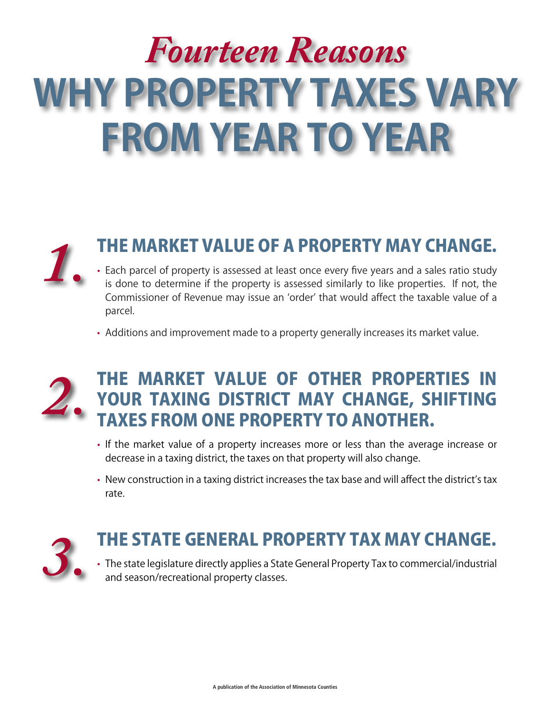# *Fourteen Reasons* **WHY PROPERTY TAXES VARY FROM YEAR TO YEAR**



#### THE MARKET VALUE OF A PROPERTY MAY CHANGE.

- Each parcel of property is assessed at least once every five years and a sales ratio study is done to determine if the property is assessed similarly to like properties. If not, the Commissioner of Revenue may issue an 'order' that would affect the taxable value of a parcel.
- Additions and improvement made to a property generally increases its market value.



#### THE MARKET VALUE OF OTHER PROPERTIES IN YOUR TAXING DISTRICT MAY CHANGE, SHIFTING TAXES FROM ONE PROPERTY TO ANOTHER.

- If the market value of a property increases more or less than the average increase or decrease in a taxing district, the taxes on that property will also change.
- New construction in a taxing district increases the tax base and will affect the district's tax rate.



# THE STATE GENERAL PROPERTY TAX MAY CHANGE.

• The state legislature directly applies a State General Property Tax to commercial/industrial and season/recreational property classes.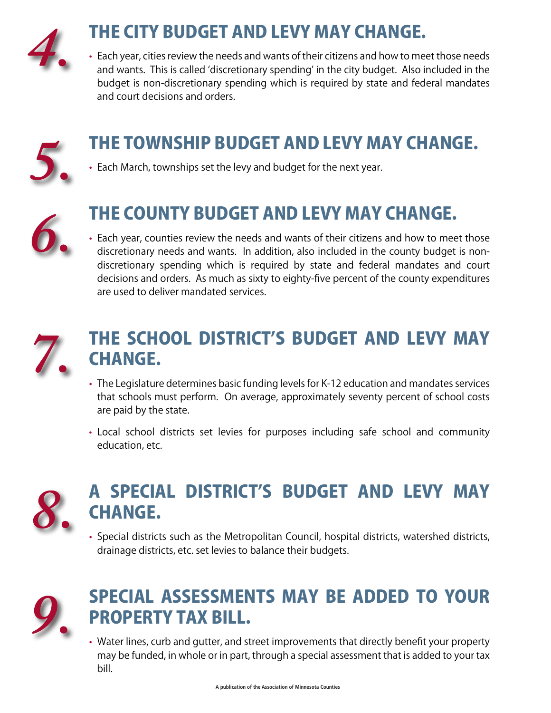

# THE CITY BUDGET AND LEVY MAY CHANGE.

• Each year, cities review the needs and wants of their citizens and how to meet those needs and wants. This is called 'discretionary spending' in the city budget. Also included in the budget is non-discretionary spending which is required by state and federal mandates and court decisions and orders.



## THE TOWNSHIP BUDGET AND LEVY MAY CHANGE.

• Each March, townships set the levy and budget for the next year.



## THE COUNTY BUDGET AND LEVY MAY CHANGE.

• Each year, counties review the needs and wants of their citizens and how to meet those discretionary needs and wants. In addition, also included in the county budget is nondiscretionary spending which is required by state and federal mandates and court decisions and orders. As much as sixty to eighty-five percent of the county expenditures are used to deliver mandated services.



## THE SCHOOL DISTRICT'S BUDGET AND LEVY MAY CHANGE.

- The Legislature determines basic funding levels for K-12 education and mandates services that schools must perform. On average, approximately seventy percent of school costs are paid by the state.
- • Local school districts set levies for purposes including safe school and community education, etc.



## A SPECIAL DISTRICT'S BUDGET AND LEVY MAY CHANGE.

• Special districts such as the Metropolitan Council, hospital districts, watershed districts, drainage districts, etc. set levies to balance their budgets.



## SPECIAL ASSESSMENTS MAY BE ADDED TO YOUR PROPERTY TAX BILL.

• Water lines, curb and gutter, and street improvements that directly benefit your property may be funded, in whole or in part, through a special assessment that is added to your tax bill.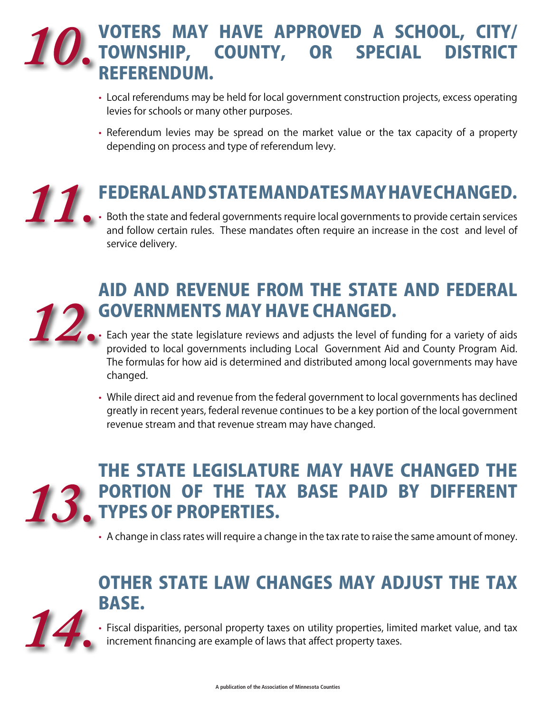#### VOTERS MAY HAVE APPROVED A SCHOOL, CITY/ TOWNSHIP, COUNTY, OR SPECIAL DISTRICT REFERENDUM.

- Local referendums may be held for local government construction projects, excess operating levies for schools or many other purposes.
- Referendum levies may be spread on the market value or the tax capacity of a property depending on process and type of referendum levy.

# FEDERAL AND STATE MANDATES MAY HAVE CHANGED.

 $\bm{\cdot}\,$  Both the state and federal governments require local governments to provide certain services and follow certain rules. These mandates often require an increase in the cost and level of service delivery.



#### AID AND REVENUE FROM THE STATE AND FEDERAL GOVERNMENTS MAY HAVE CHANGED.

- $\bm \cdot$  Each year the state legislature reviews and adjusts the level of funding for a variety of aids provided to local governments including Local Government Aid and County Program Aid. The formulas for how aid is determined and distributed among local governments may have changed.
- While direct aid and revenue from the federal government to local governments has declined greatly in recent years, federal revenue continues to be a key portion of the local government revenue stream and that revenue stream may have changed.

![](_page_2_Picture_9.jpeg)

## THE STATE LEGISLATURE MAY HAVE CHANGED THE PORTION OF THE TAX BASE PAID BY DIFFERENT **. TYPES OF PROPERTIES.**

• A change in class rates will require a change in the tax rate to raise the same amount of money.

## OTHER STATE LAW CHANGES MAY ADJUST THE TAX BASE.

![](_page_2_Picture_13.jpeg)

• Fiscal disparities, personal property taxes on utility properties, limited market value, and tax increment financing are example of laws that affect property taxes.